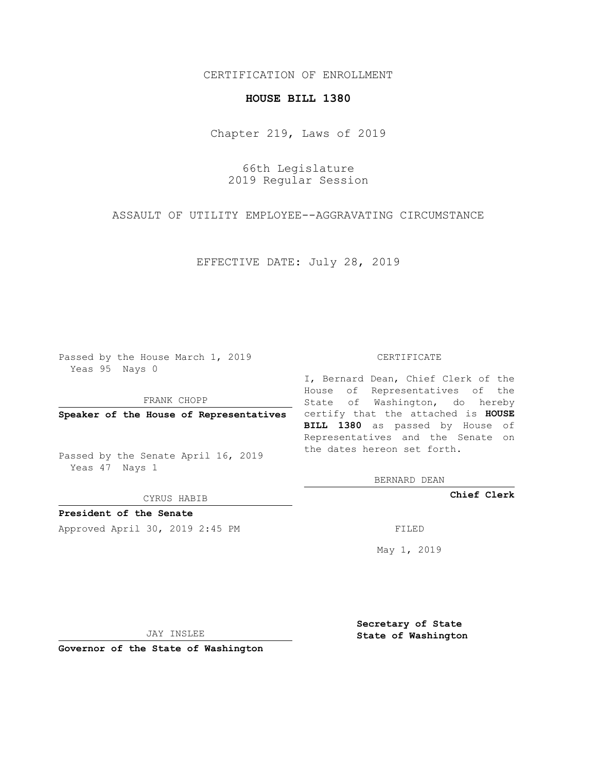## CERTIFICATION OF ENROLLMENT

## **HOUSE BILL 1380**

Chapter 219, Laws of 2019

66th Legislature 2019 Regular Session

ASSAULT OF UTILITY EMPLOYEE--AGGRAVATING CIRCUMSTANCE

EFFECTIVE DATE: July 28, 2019

Passed by the House March 1, 2019 Yeas 95 Nays 0

FRANK CHOPP

Passed by the Senate April 16, 2019 Yeas 47 Nays 1

CYRUS HABIB

**President of the Senate**

Approved April 30, 2019 2:45 PM FILED

## CERTIFICATE

**Speaker of the House of Representatives** certify that the attached is **HOUSE** I, Bernard Dean, Chief Clerk of the House of Representatives of the State of Washington, do hereby **BILL 1380** as passed by House of Representatives and the Senate on the dates hereon set forth.

BERNARD DEAN

**Chief Clerk**

May 1, 2019

JAY INSLEE

**Governor of the State of Washington**

**Secretary of State State of Washington**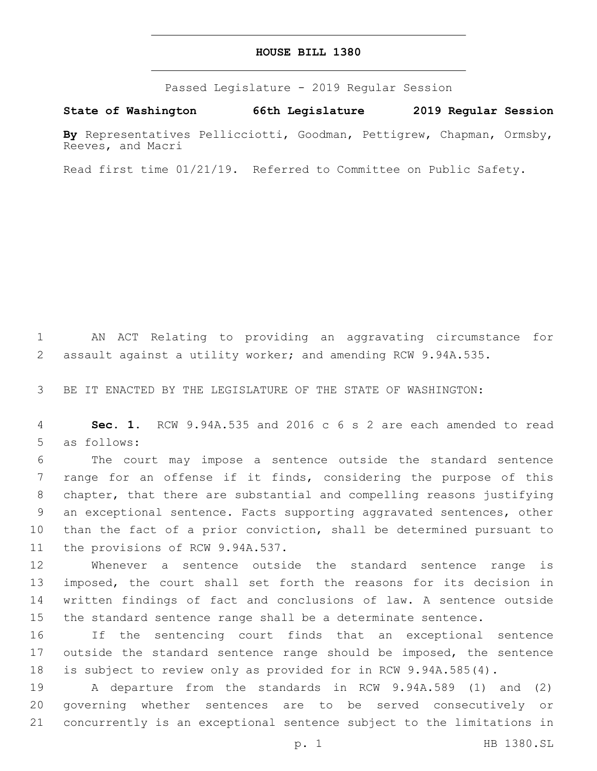## **HOUSE BILL 1380**

Passed Legislature - 2019 Regular Session

**State of Washington 66th Legislature 2019 Regular Session**

**By** Representatives Pellicciotti, Goodman, Pettigrew, Chapman, Ormsby, Reeves, and Macri

Read first time 01/21/19. Referred to Committee on Public Safety.

 AN ACT Relating to providing an aggravating circumstance for assault against a utility worker; and amending RCW 9.94A.535.

BE IT ENACTED BY THE LEGISLATURE OF THE STATE OF WASHINGTON:

 **Sec. 1.** RCW 9.94A.535 and 2016 c 6 s 2 are each amended to read 5 as follows:

 The court may impose a sentence outside the standard sentence range for an offense if it finds, considering the purpose of this chapter, that there are substantial and compelling reasons justifying an exceptional sentence. Facts supporting aggravated sentences, other than the fact of a prior conviction, shall be determined pursuant to 11 the provisions of RCW 9.94A.537.

 Whenever a sentence outside the standard sentence range is imposed, the court shall set forth the reasons for its decision in written findings of fact and conclusions of law. A sentence outside the standard sentence range shall be a determinate sentence.

 If the sentencing court finds that an exceptional sentence 17 outside the standard sentence range should be imposed, the sentence is subject to review only as provided for in RCW 9.94A.585(4).

 A departure from the standards in RCW 9.94A.589 (1) and (2) governing whether sentences are to be served consecutively or concurrently is an exceptional sentence subject to the limitations in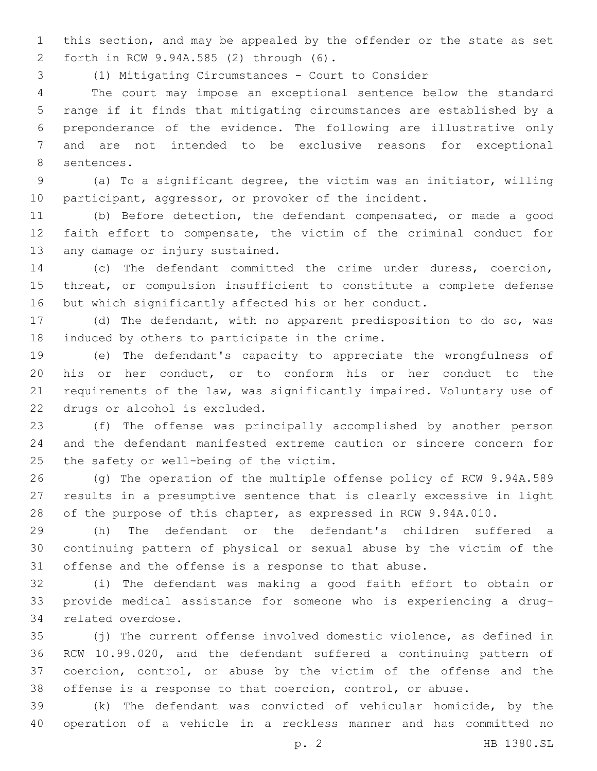this section, and may be appealed by the offender or the state as set forth in RCW 9.94A.585 (2) through (6).2

(1) Mitigating Circumstances - Court to Consider

 The court may impose an exceptional sentence below the standard range if it finds that mitigating circumstances are established by a preponderance of the evidence. The following are illustrative only and are not intended to be exclusive reasons for exceptional 8 sentences.

 (a) To a significant degree, the victim was an initiator, willing 10 participant, aggressor, or provoker of the incident.

 (b) Before detection, the defendant compensated, or made a good faith effort to compensate, the victim of the criminal conduct for 13 any damage or injury sustained.

 (c) The defendant committed the crime under duress, coercion, threat, or compulsion insufficient to constitute a complete defense but which significantly affected his or her conduct.

 (d) The defendant, with no apparent predisposition to do so, was 18 induced by others to participate in the crime.

 (e) The defendant's capacity to appreciate the wrongfulness of his or her conduct, or to conform his or her conduct to the requirements of the law, was significantly impaired. Voluntary use of 22 drugs or alcohol is excluded.

 (f) The offense was principally accomplished by another person and the defendant manifested extreme caution or sincere concern for 25 the safety or well-being of the victim.

 (g) The operation of the multiple offense policy of RCW 9.94A.589 results in a presumptive sentence that is clearly excessive in light of the purpose of this chapter, as expressed in RCW 9.94A.010.

 (h) The defendant or the defendant's children suffered a continuing pattern of physical or sexual abuse by the victim of the offense and the offense is a response to that abuse.

 (i) The defendant was making a good faith effort to obtain or provide medical assistance for someone who is experiencing a drug-34 related overdose.

 (j) The current offense involved domestic violence, as defined in RCW 10.99.020, and the defendant suffered a continuing pattern of coercion, control, or abuse by the victim of the offense and the offense is a response to that coercion, control, or abuse.

 (k) The defendant was convicted of vehicular homicide, by the operation of a vehicle in a reckless manner and has committed no

p. 2 HB 1380.SL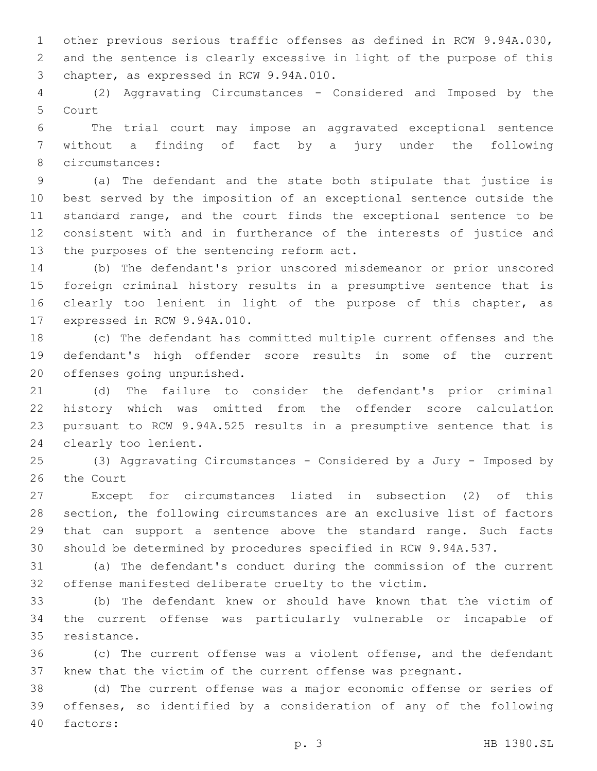other previous serious traffic offenses as defined in RCW 9.94A.030, and the sentence is clearly excessive in light of the purpose of this 3 chapter, as expressed in RCW 9.94A.010.

 (2) Aggravating Circumstances - Considered and Imposed by the 5 Court

 The trial court may impose an aggravated exceptional sentence without a finding of fact by a jury under the following 8 circumstances:

 (a) The defendant and the state both stipulate that justice is best served by the imposition of an exceptional sentence outside the standard range, and the court finds the exceptional sentence to be consistent with and in furtherance of the interests of justice and 13 the purposes of the sentencing reform act.

 (b) The defendant's prior unscored misdemeanor or prior unscored foreign criminal history results in a presumptive sentence that is 16 clearly too lenient in light of the purpose of this chapter, as 17 expressed in RCW 9.94A.010.

 (c) The defendant has committed multiple current offenses and the defendant's high offender score results in some of the current 20 offenses going unpunished.

 (d) The failure to consider the defendant's prior criminal history which was omitted from the offender score calculation pursuant to RCW 9.94A.525 results in a presumptive sentence that is 24 clearly too lenient.

 (3) Aggravating Circumstances - Considered by a Jury - Imposed by 26 the Court

 Except for circumstances listed in subsection (2) of this section, the following circumstances are an exclusive list of factors that can support a sentence above the standard range. Such facts should be determined by procedures specified in RCW 9.94A.537.

 (a) The defendant's conduct during the commission of the current offense manifested deliberate cruelty to the victim.

 (b) The defendant knew or should have known that the victim of the current offense was particularly vulnerable or incapable of 35 resistance.

 (c) The current offense was a violent offense, and the defendant knew that the victim of the current offense was pregnant.

 (d) The current offense was a major economic offense or series of offenses, so identified by a consideration of any of the following 40 factors: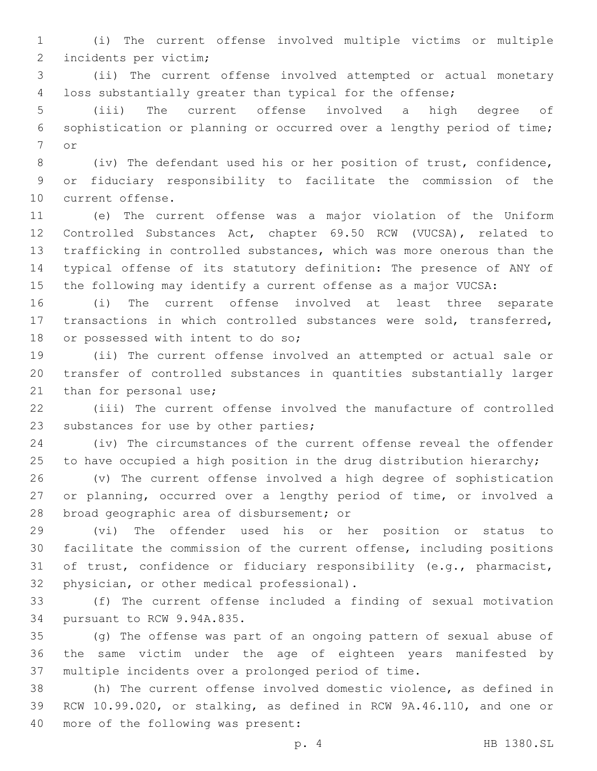(i) The current offense involved multiple victims or multiple 2 incidents per victim;

 (ii) The current offense involved attempted or actual monetary loss substantially greater than typical for the offense;

 (iii) The current offense involved a high degree of sophistication or planning or occurred over a lengthy period of time; 7 or

 (iv) The defendant used his or her position of trust, confidence, or fiduciary responsibility to facilitate the commission of the 10 current offense.

 (e) The current offense was a major violation of the Uniform Controlled Substances Act, chapter 69.50 RCW (VUCSA), related to trafficking in controlled substances, which was more onerous than the typical offense of its statutory definition: The presence of ANY of the following may identify a current offense as a major VUCSA:

 (i) The current offense involved at least three separate transactions in which controlled substances were sold, transferred, 18 or possessed with intent to do so;

 (ii) The current offense involved an attempted or actual sale or transfer of controlled substances in quantities substantially larger 21 than for personal use;

 (iii) The current offense involved the manufacture of controlled 23 substances for use by other parties;

 (iv) The circumstances of the current offense reveal the offender 25 to have occupied a high position in the drug distribution hierarchy;

 (v) The current offense involved a high degree of sophistication or planning, occurred over a lengthy period of time, or involved a 28 broad geographic area of disbursement; or

 (vi) The offender used his or her position or status to facilitate the commission of the current offense, including positions of trust, confidence or fiduciary responsibility (e.g., pharmacist, 32 physician, or other medical professional).

 (f) The current offense included a finding of sexual motivation 34 pursuant to RCW 9.94A.835.

 (g) The offense was part of an ongoing pattern of sexual abuse of the same victim under the age of eighteen years manifested by multiple incidents over a prolonged period of time.

 (h) The current offense involved domestic violence, as defined in RCW 10.99.020, or stalking, as defined in RCW 9A.46.110, and one or 40 more of the following was present:

p. 4 HB 1380.SL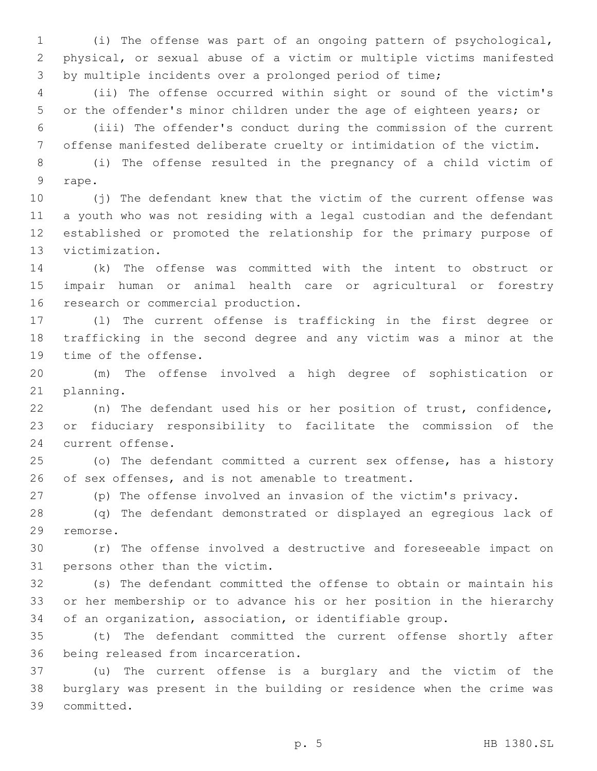(i) The offense was part of an ongoing pattern of psychological, physical, or sexual abuse of a victim or multiple victims manifested by multiple incidents over a prolonged period of time;

 (ii) The offense occurred within sight or sound of the victim's or the offender's minor children under the age of eighteen years; or

 (iii) The offender's conduct during the commission of the current offense manifested deliberate cruelty or intimidation of the victim.

 (i) The offense resulted in the pregnancy of a child victim of 9 rape.

 (j) The defendant knew that the victim of the current offense was a youth who was not residing with a legal custodian and the defendant established or promoted the relationship for the primary purpose of 13 victimization.

 (k) The offense was committed with the intent to obstruct or impair human or animal health care or agricultural or forestry 16 research or commercial production.

 (l) The current offense is trafficking in the first degree or trafficking in the second degree and any victim was a minor at the 19 time of the offense.

 (m) The offense involved a high degree of sophistication or 21 planning.

 (n) The defendant used his or her position of trust, confidence, or fiduciary responsibility to facilitate the commission of the 24 current offense.

 (o) The defendant committed a current sex offense, has a history 26 of sex offenses, and is not amenable to treatment.

(p) The offense involved an invasion of the victim's privacy.

 (q) The defendant demonstrated or displayed an egregious lack of 29 remorse.

 (r) The offense involved a destructive and foreseeable impact on 31 persons other than the victim.

 (s) The defendant committed the offense to obtain or maintain his or her membership or to advance his or her position in the hierarchy of an organization, association, or identifiable group.

 (t) The defendant committed the current offense shortly after 36 being released from incarceration.

 (u) The current offense is a burglary and the victim of the burglary was present in the building or residence when the crime was committed.39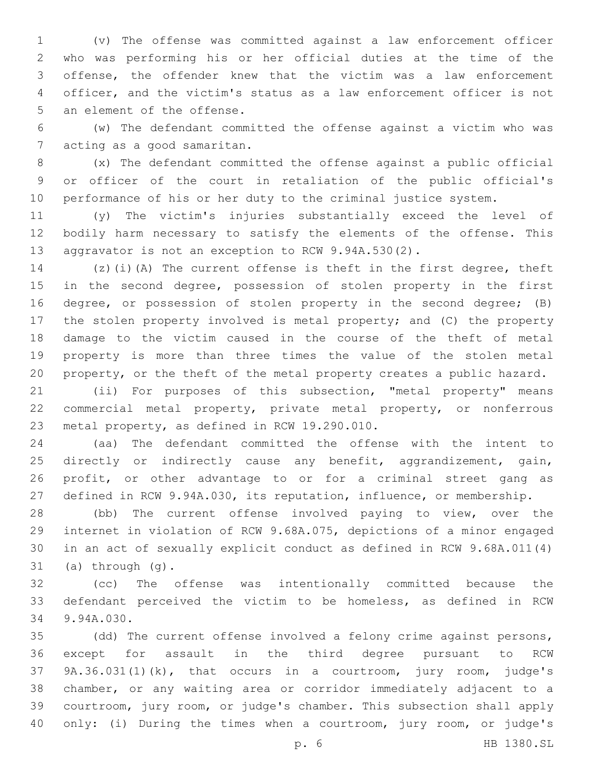(v) The offense was committed against a law enforcement officer who was performing his or her official duties at the time of the offense, the offender knew that the victim was a law enforcement officer, and the victim's status as a law enforcement officer is not 5 an element of the offense.

 (w) The defendant committed the offense against a victim who was 7 acting as a good samaritan.

 (x) The defendant committed the offense against a public official or officer of the court in retaliation of the public official's performance of his or her duty to the criminal justice system.

 (y) The victim's injuries substantially exceed the level of bodily harm necessary to satisfy the elements of the offense. This aggravator is not an exception to RCW 9.94A.530(2).

 (z)(i)(A) The current offense is theft in the first degree, theft in the second degree, possession of stolen property in the first degree, or possession of stolen property in the second degree; (B) the stolen property involved is metal property; and (C) the property damage to the victim caused in the course of the theft of metal property is more than three times the value of the stolen metal property, or the theft of the metal property creates a public hazard.

 (ii) For purposes of this subsection, "metal property" means commercial metal property, private metal property, or nonferrous 23 metal property, as defined in RCW 19.290.010.

 (aa) The defendant committed the offense with the intent to 25 directly or indirectly cause any benefit, aggrandizement, gain, profit, or other advantage to or for a criminal street gang as defined in RCW 9.94A.030, its reputation, influence, or membership.

 (bb) The current offense involved paying to view, over the internet in violation of RCW 9.68A.075, depictions of a minor engaged in an act of sexually explicit conduct as defined in RCW 9.68A.011(4) (a) through  $(q)$ .

 (cc) The offense was intentionally committed because the defendant perceived the victim to be homeless, as defined in RCW 34 9.94A.030.

 (dd) The current offense involved a felony crime against persons, except for assault in the third degree pursuant to RCW 9A.36.031(1)(k), that occurs in a courtroom, jury room, judge's chamber, or any waiting area or corridor immediately adjacent to a courtroom, jury room, or judge's chamber. This subsection shall apply only: (i) During the times when a courtroom, jury room, or judge's

p. 6 HB 1380.SL